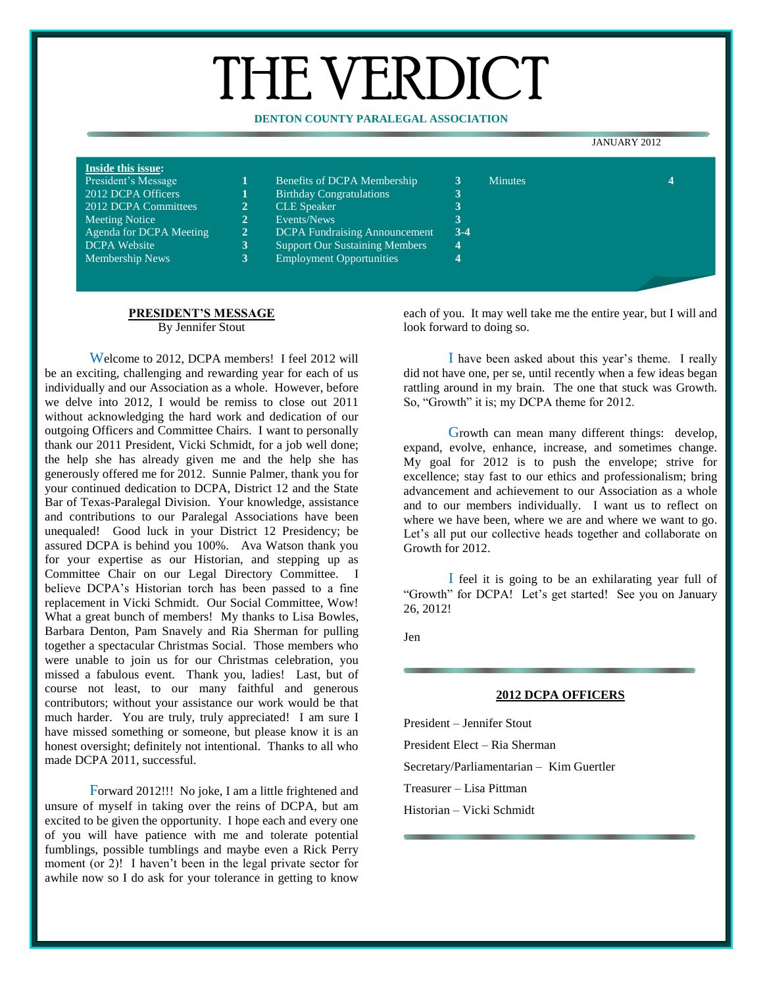# THE VERDICT

### **DENTON COUNTY PARALEGAL ASSOCIATION**

#### JANUARY 2012

| Inside this issue:      |   |                                       |                  |                |   |
|-------------------------|---|---------------------------------------|------------------|----------------|---|
| President's Message     |   | Benefits of DCPA Membership           |                  | <b>Minutes</b> | 4 |
| 2012 DCPA Officers      |   | <b>Birthday Congratulations</b>       | $\mathbf 3$<br>◡ |                |   |
| 2012 DCPA Committees    | 2 | <b>CLE</b> Speaker                    | . .              |                |   |
| Meeting Notice          | 2 | Events/News                           |                  |                |   |
| Agenda for DCPA Meeting | 2 | <b>DCPA</b> Fundraising Announcement  | $3-4$            |                |   |
| <b>DCPA</b> Website     | 3 | <b>Support Our Sustaining Members</b> | 4                |                |   |
| <b>Membership News</b>  | 3 | <b>Employment Opportunities</b>       | 4                |                |   |
|                         |   |                                       |                  |                |   |
|                         |   |                                       |                  |                |   |

# **PRESIDENT'S MESSAGE**

By Jennifer Stout

Welcome to 2012, DCPA members! I feel 2012 will be an exciting, challenging and rewarding year for each of us individually and our Association as a whole. However, before we delve into 2012, I would be remiss to close out 2011 without acknowledging the hard work and dedication of our outgoing Officers and Committee Chairs. I want to personally thank our 2011 President, Vicki Schmidt, for a job well done; the help she has already given me and the help she has generously offered me for 2012. Sunnie Palmer, thank you for your continued dedication to DCPA, District 12 and the State Bar of Texas-Paralegal Division. Your knowledge, assistance and contributions to our Paralegal Associations have been unequaled! Good luck in your District 12 Presidency; be assured DCPA is behind you 100%. Ava Watson thank you for your expertise as our Historian, and stepping up as Committee Chair on our Legal Directory Committee. I believe DCPA's Historian torch has been passed to a fine replacement in Vicki Schmidt. Our Social Committee, Wow! What a great bunch of members! My thanks to Lisa Bowles, Barbara Denton, Pam Snavely and Ria Sherman for pulling together a spectacular Christmas Social. Those members who were unable to join us for our Christmas celebration, you missed a fabulous event. Thank you, ladies! Last, but of course not least, to our many faithful and generous contributors; without your assistance our work would be that much harder. You are truly, truly appreciated! I am sure I have missed something or someone, but please know it is an honest oversight; definitely not intentional. Thanks to all who made DCPA 2011, successful.

Forward 2012!!! No joke, I am a little frightened and unsure of myself in taking over the reins of DCPA, but am excited to be given the opportunity. I hope each and every one of you will have patience with me and tolerate potential fumblings, possible tumblings and maybe even a Rick Perry moment (or 2)! I haven't been in the legal private sector for awhile now so I do ask for your tolerance in getting to know each of you. It may well take me the entire year, but I will and look forward to doing so.

I have been asked about this year's theme. I really did not have one, per se, until recently when a few ideas began rattling around in my brain. The one that stuck was Growth. So, "Growth" it is; my DCPA theme for 2012.

Growth can mean many different things: develop, expand, evolve, enhance, increase, and sometimes change. My goal for 2012 is to push the envelope; strive for excellence; stay fast to our ethics and professionalism; bring advancement and achievement to our Association as a whole and to our members individually. I want us to reflect on where we have been, where we are and where we want to go. Let's all put our collective heads together and collaborate on Growth for 2012.

I feel it is going to be an exhilarating year full of "Growth" for DCPA! Let's get started! See you on January 26, 2012!

Jen

#### **2012 DCPA OFFICERS**

President – Jennifer Stout President Elect – Ria Sherman Secretary/Parliamentarian – Kim Guertler Treasurer – Lisa Pittman Historian – Vicki Schmidt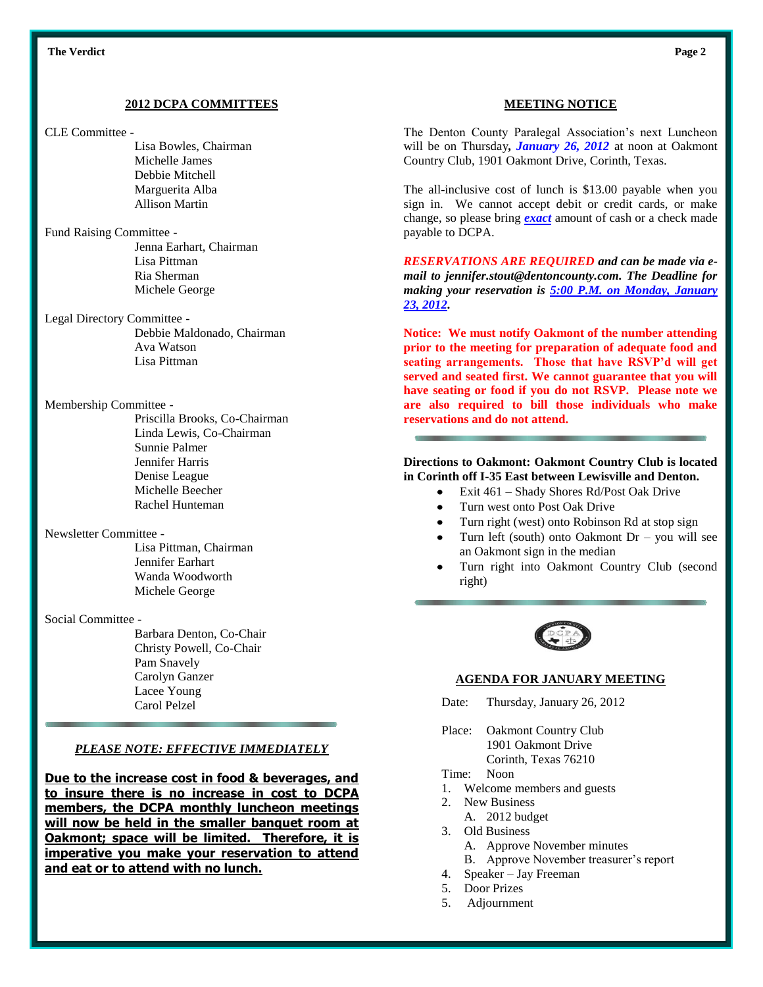#### **2012 DCPA COMMITTEES**

CLE Committee -

Lisa Bowles, Chairman Michelle James Debbie Mitchell Marguerita Alba Allison Martin

Fund Raising Committee -

Jenna Earhart, Chairman Lisa Pittman Ria Sherman Michele George

Legal Directory Committee -

Debbie Maldonado, Chairman Ava Watson Lisa Pittman

Membership Committee -

Priscilla Brooks, Co-Chairman Linda Lewis, Co-Chairman Sunnie Palmer Jennifer Harris Denise League Michelle Beecher Rachel Hunteman

Newsletter Committee -

Lisa Pittman, Chairman Jennifer Earhart Wanda Woodworth Michele George

#### Social Committee -

Barbara Denton, Co-Chair Christy Powell, Co-Chair Pam Snavely Carolyn Ganzer Lacee Young Carol Pelzel

#### *PLEASE NOTE: EFFECTIVE IMMEDIATELY*

**Due to the increase cost in food & beverages, and to insure there is no increase in cost to DCPA members, the DCPA monthly luncheon meetings will now be held in the smaller banquet room at Oakmont; space will be limited. Therefore, it is imperative you make your reservation to attend and eat or to attend with no lunch.**

#### **MEETING NOTICE**

The Denton County Paralegal Association's next Luncheon will be on Thursday*, January 26, 2012* at noon at Oakmont Country Club, 1901 Oakmont Drive, Corinth, Texas.

The all-inclusive cost of lunch is \$13.00 payable when you sign in. We cannot accept debit or credit cards, or make change, so please bring *exact* amount of cash or a check made payable to DCPA.

*RESERVATIONS ARE REQUIRED and can be made via email to jennifer.stout@dentoncounty.com. The Deadline for making your reservation is 5:00 P.M. on Monday, January 23, 2012.*

**Notice: We must notify Oakmont of the number attending prior to the meeting for preparation of adequate food and seating arrangements. Those that have RSVP'd will get served and seated first. We cannot guarantee that you will have seating or food if you do not RSVP. Please note we are also required to bill those individuals who make reservations and do not attend.**

#### **Directions to Oakmont: Oakmont Country Club is located in Corinth off I-35 East between Lewisville and Denton.**

- Exit 461 Shady Shores Rd/Post Oak Drive
- Turn west onto Post Oak Drive
- Turn right (west) onto Robinson Rd at stop sign
- Turn left (south) onto Oakmont Dr you will see an Oakmont sign in the median
- Turn right into Oakmont Country Club (second right)



#### **AGENDA FOR JANUARY MEETING**

- Date: Thursday, January 26, 2012
- Place: Oakmont Country Club 1901 Oakmont Drive
	- Corinth, Texas 76210

# Time: Noon

- 1. Welcome members and guests
- 2. New Business
	- A. 2012 budget
- 3. Old Business
	- A. Approve November minutes
	- B. Approve November treasurer's report
- 4. Speaker Jay Freeman
- 5. Door Prizes
- 5. Adjournment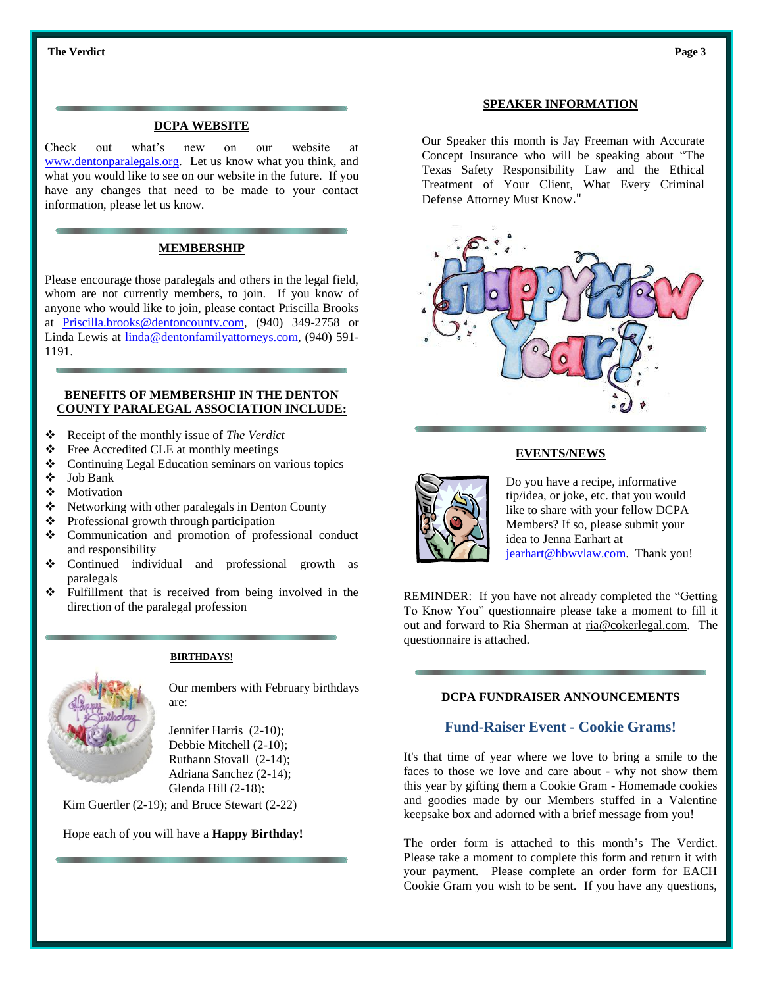#### **DCPA WEBSITE**

Check out what's new on our website at [www.dentonparalegals.org.](http://www.dentonparalegals.org/) Let us know what you think, and what you would like to see on our website in the future. If you have any changes that need to be made to your contact information, please let us know.

# **MEMBERSHIP**

Please encourage those paralegals and others in the legal field, whom are not currently members, to join. If you know of anyone who would like to join, please contact Priscilla Brooks at [Priscilla.brooks@dentoncounty.com,](mailto:Priscilla.brooks@dentoncounty.com) (940) 349-2758 or Linda Lewis at [linda@dentonfamilyattorneys.com,](mailto:linda@dentonfamilyattorneys.com) (940) 591- 1191.

#### **BENEFITS OF MEMBERSHIP IN THE DENTON COUNTY PARALEGAL ASSOCIATION INCLUDE:**

- Receipt of the monthly issue of *The Verdict*
- ❖ Free Accredited CLE at monthly meetings
- ❖ Continuing Legal Education seminars on various topics
- Job Bank
- **\*** Motivation
- $\triangle$  Networking with other paralegals in Denton County
- ❖ Professional growth through participation
- Communication and promotion of professional conduct and responsibility
- Continued individual and professional growth as paralegals
- $\div$  Fulfillment that is received from being involved in the direction of the paralegal profession



**BIRTHDAYS!**

Our members with February birthdays are:

Jennifer Harris (2-10); Debbie Mitchell (2-10); Ruthann Stovall (2-14); Adriana Sanchez (2-14); Glenda Hill (2-18);

Kim Guertler (2-19); and Bruce Stewart (2-22)

Hope each of you will have a **Happy Birthday!**

#### **SPEAKER INFORMATION**

Our Speaker this month is Jay Freeman with Accurate Concept Insurance who will be speaking about "The Texas Safety Responsibility Law and the Ethical Treatment of Your Client, What Every Criminal Defense Attorney Must Know."



#### **EVENTS/NEWS**



Do you have a recipe, informative tip/idea, or joke, etc. that you would like to share with your fellow DCPA Members? If so, please submit your idea to Jenna Earhart at [jearhart@hbwvlaw.com.](mailto:jearhart@hbwvlaw.com) Thank you!

REMINDER: If you have not already completed the "Getting To Know You" questionnaire please take a moment to fill it out and forward to Ria Sherman at [ria@cokerlegal.com.](mailto:ria@cokerlegal.com) The questionnaire is attached.

#### **DCPA FUNDRAISER ANNOUNCEMENTS**

# **Fund-Raiser Event - Cookie Grams!**

It's that time of year where we love to bring a smile to the faces to those we love and care about - why not show them this year by gifting them a Cookie Gram - Homemade cookies and goodies made by our Members stuffed in a Valentine keepsake box and adorned with a brief message from you!

The order form is attached to this month's The Verdict. Please take a moment to complete this form and return it with your payment. Please complete an order form for EACH Cookie Gram you wish to be sent. If you have any questions,